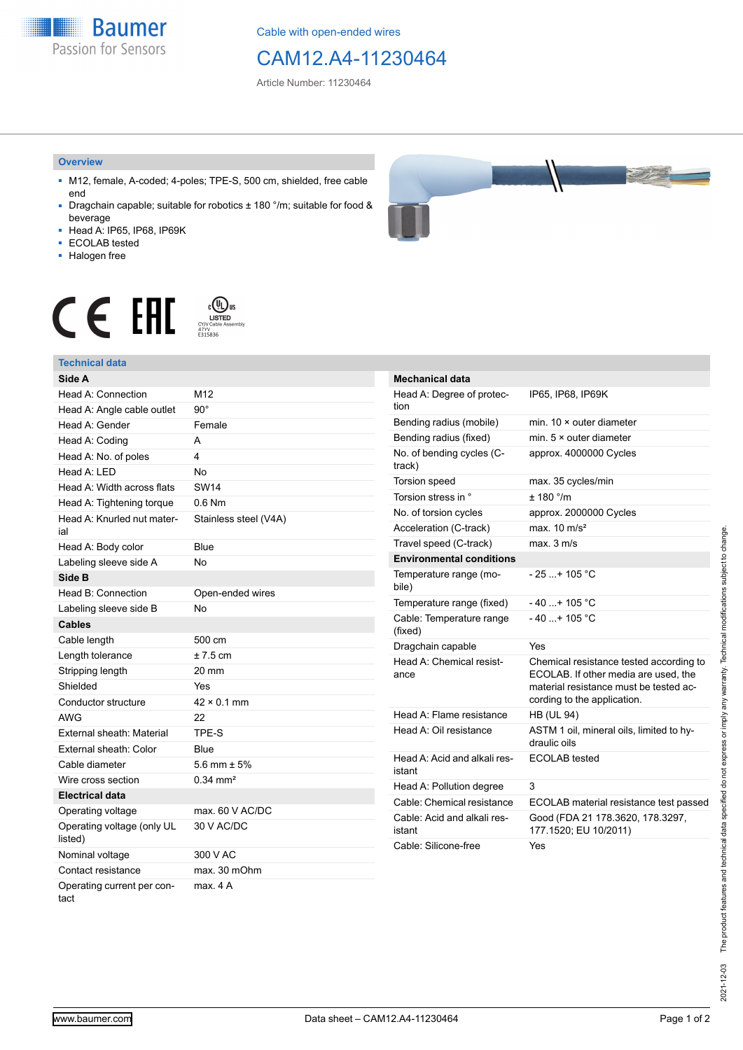**Baumer** Passion for Sensors

Cable with open-ended wires

## CAM12.A4-11230464

Article Number: 11230464

#### **Overview**

- M12, female, A-coded; 4-poles; TPE-S, 500 cm, shielded, free cable end
- Dragchain capable; suitable for robotics ± 180 °/m; suitable for food & beverage
- Head A: IP65, IP68, IP69K
- ECOLAB tested
- Halogen free





## **Technical data**

| Side A                                |                       |
|---------------------------------------|-----------------------|
| Head A: Connection                    | M <sub>12</sub>       |
| Head A: Angle cable outlet            | $90^{\circ}$          |
| Head A: Gender                        | Female                |
| Head A: Coding                        | А                     |
| Head A: No. of poles                  | 4                     |
| Head A: LED                           | <b>No</b>             |
| Head A: Width across flats            | <b>SW14</b>           |
| Head A: Tightening torque             | $0.6$ Nm              |
| Head A: Knurled nut mater-<br>ial     | Stainless steel (V4A) |
| Head A: Body color                    | Blue                  |
| Labeling sleeve side A                | <b>No</b>             |
| Side B                                |                       |
| Head B: Connection                    | Open-ended wires      |
| Labeling sleeve side B                | <b>No</b>             |
| <b>Cables</b>                         |                       |
| Cable length                          | $500 \text{ cm}$      |
| Length tolerance                      | $±7.5$ cm             |
| Stripping length                      | 20 mm                 |
| Shielded                              | Yes                   |
| Conductor structure                   | $42 \times 0.1$ mm    |
| AWG                                   | 22                    |
| External sheath: Material             | TPE-S                 |
| External sheath: Color                | Blue                  |
| Cable diameter                        | 5.6 mm $\pm$ 5%       |
| Wire cross section                    | $0.34 \text{ mm}^2$   |
| <b>Electrical data</b>                |                       |
| Operating voltage                     | max. 60 V AC/DC       |
| Operating voltage (only UL<br>listed) | 30 V AC/DC            |
| Nominal voltage                       | 300 V AC              |
| Contact resistance                    | max. 30 mOhm          |
| Operating current per con-<br>tact    | max. 4A               |

| <b>Mechanical data</b>                 |                                                                                                                                                          |
|----------------------------------------|----------------------------------------------------------------------------------------------------------------------------------------------------------|
| Head A: Degree of protec-<br>tion      | IP65, IP68, IP69K                                                                                                                                        |
| Bending radius (mobile)                | min. 10 × outer diameter                                                                                                                                 |
| Bending radius (fixed)                 | min. $5 \times$ outer diameter                                                                                                                           |
| No. of bending cycles (C-<br>track)    | approx. 4000000 Cycles                                                                                                                                   |
| Torsion speed                          | max. 35 cycles/min                                                                                                                                       |
| Torsion stress in °                    | $+ 180$ $\degree$ /m                                                                                                                                     |
| No. of torsion cycles                  | approx. 2000000 Cycles                                                                                                                                   |
| Acceleration (C-track)                 | max. $10 \text{ m/s}^2$                                                                                                                                  |
| Travel speed (C-track)                 | max. 3 m/s                                                                                                                                               |
| <b>Environmental conditions</b>        |                                                                                                                                                          |
| Temperature range (mo-<br>bile)        | $-25$ + 105 °C                                                                                                                                           |
| Temperature range (fixed)              | $-40+105 °C$                                                                                                                                             |
| Cable: Temperature range<br>(fixed)    | $-40+105 °C$                                                                                                                                             |
| Dragchain capable                      | Yes                                                                                                                                                      |
| Head A: Chemical resist-<br>ance       | Chemical resistance tested according to<br>ECOLAB. If other media are used, the<br>material resistance must be tested ac-<br>cording to the application. |
| Head A: Flame resistance               | <b>HB (UL 94)</b>                                                                                                                                        |
| Head A: Oil resistance                 | ASTM 1 oil, mineral oils, limited to hy-<br>draulic oils                                                                                                 |
| Head A: Acid and alkali res-<br>istant | <b>ECOLAB</b> tested                                                                                                                                     |
| Head A: Pollution degree               | 3                                                                                                                                                        |
| Cable: Chemical resistance             | ECOLAB material resistance test passed                                                                                                                   |
| Cable: Acid and alkali res-<br>istant  | Good (FDA 21 178.3620, 178.3297,<br>177.1520; EU 10/2011)                                                                                                |
| Cable: Silicone-free                   | Yes                                                                                                                                                      |